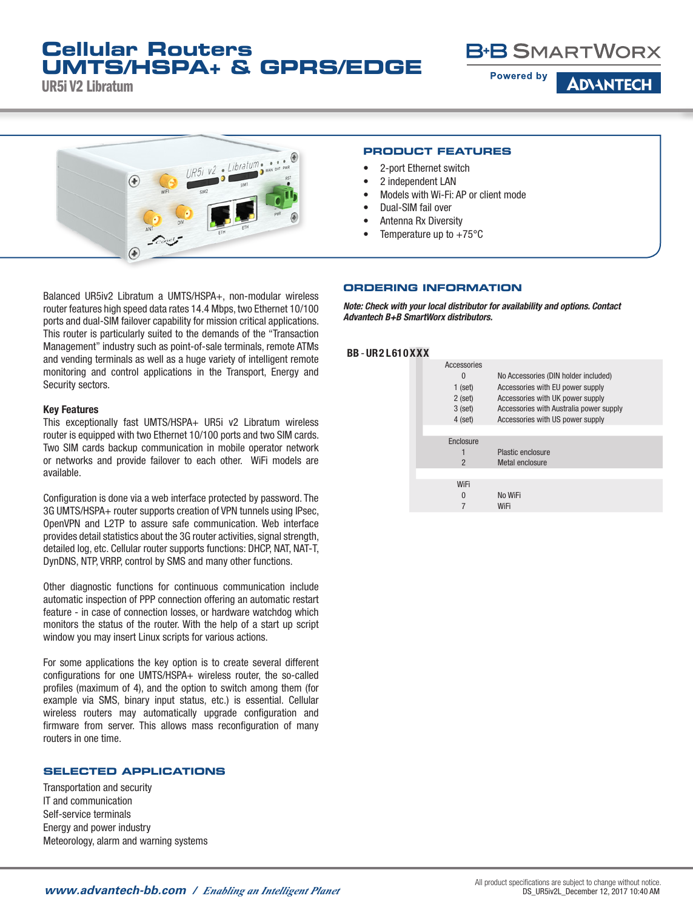## **Cellular Routers UMTS/HSPA+ & GPRS/EDGE**

UR5i V2 Libratum



**Powered by** 

**ADVANTECH** 



### **PRODUCT FEATURES**

- 2-port Ethernet switch
- 2 independent LAN
- Models with Wi-Fi: AP or client mode
- Dual-SIM fail over
- Antenna Rx Diversity
- Temperature up to  $+75^{\circ}$ C

Balanced UR5iv2 Libratum a UMTS/HSPA+, non-modular wireless router features high speed data rates 14.4 Mbps, two Ethernet 10/100 ports and dual-SIM failover capability for mission critical applications. This router is particularly suited to the demands of the "Transaction Management" industry such as point-of-sale terminals, remote ATMs and vending terminals as well as a huge variety of intelligent remote monitoring and control applications in the Transport, Energy and Security sectors.

### Key Features

This exceptionally fast UMTS/HSPA+ UR5i v2 Libratum wireless router is equipped with two Ethernet 10/100 ports and two SIM cards. Two SIM cards backup communication in mobile operator network or networks and provide failover to each other. WiFi models are available.

Configuration is done via a web interface protected by password. The 3G UMTS/HSPA+ router supports creation of VPN tunnels using IPsec, OpenVPN and L2TP to assure safe communication. Web interface provides detail statistics about the 3G router activities, signal strength, detailed log, etc. Cellular router supports functions: DHCP, NAT, NAT-T, DynDNS, NTP, VRRP, control by SMS and many other functions.

Other diagnostic functions for continuous communication include automatic inspection of PPP connection offering an automatic restart feature - in case of connection losses, or hardware watchdog which monitors the status of the router. With the help of a start up script window you may insert Linux scripts for various actions.

For some applications the key option is to create several different configurations for one UMTS/HSPA+ wireless router, the so-called profiles (maximum of 4), and the option to switch among them (for example via SMS, binary input status, etc.) is essential. Cellular wireless routers may automatically upgrade configuration and firmware from server. This allows mass reconfiguration of many routers in one time.

### **SELECTED APPLICATIONS**

Transportation and security IT and communication Self-service terminals Energy and power industry Meteorology, alarm and warning systems

### **ORDERING INFORMATION**

*Note: Check with your local distributor for availability and options. Contact Advantech B+B SmartWorx distributors.*

### BB - UR2 L610XXX

| Accessories    |                                         |
|----------------|-----------------------------------------|
| $\Omega$       | No Accessories (DIN holder included)    |
| $1$ (set)      | Accessories with EU power supply        |
| $2$ (set)      | Accessories with UK power supply        |
| $3$ (set)      | Accessories with Australia power supply |
| $4$ (set)      | Accessories with US power supply        |
|                |                                         |
| Enclosure      |                                         |
|                | Plastic enclosure                       |
| $\overline{2}$ | Metal enclosure                         |
|                |                                         |
| WiFi           |                                         |
| $\Omega$       | No WiFi                                 |
|                | WiFi                                    |
|                |                                         |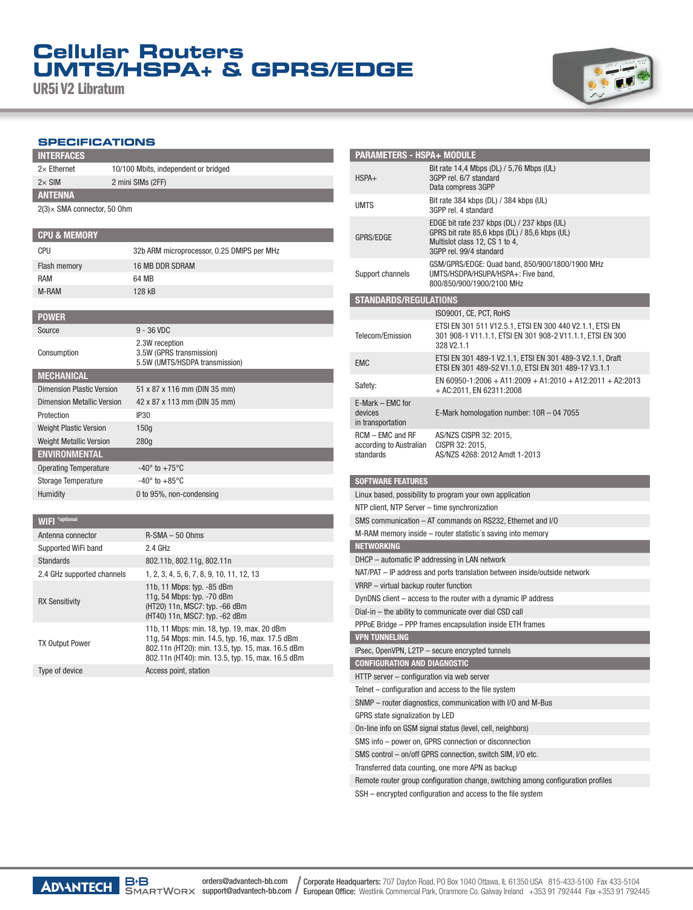# **Cellular Routers UMTS/HSPA+ & GPRS/EDGE**

UR5i V2 Libratum



### **SPECIFICATIONS**

| <b>INTERFACES</b>                   |                                      |  |
|-------------------------------------|--------------------------------------|--|
| $2\times$ Ethernet                  | 10/100 Mbits, independent or bridged |  |
| $2\times$ SIM                       | 2 mini SIMs (2FF)                    |  |
| <b>ANTENNA</b>                      |                                      |  |
| $2(3) \times$ SMA connector, 50 Ohm |                                      |  |
|                                     |                                      |  |
| <b>CPU &amp; MEMORY</b>             |                                      |  |

| CPU                               | 32b ARM microprocessor, 0.25 DMIPS per MHz                                   |
|-----------------------------------|------------------------------------------------------------------------------|
| Flash memory                      | 16 MB DDR SDRAM                                                              |
| RAM                               | 64 MR                                                                        |
| M-RAM                             | 128 kB                                                                       |
|                                   |                                                                              |
| <b>POWER</b>                      |                                                                              |
| Source                            | $9 - 36$ VDC                                                                 |
| Consumption                       | 2.3W reception<br>3.5W (GPRS transmission)<br>5.5W (UMTS/HSDPA transmission) |
| <b>MECHANICAL</b>                 |                                                                              |
| Dimension Plastic Version         | 51 x 87 x 116 mm (DIN 35 mm)                                                 |
| <b>Dimension Metallic Version</b> | 42 x 87 x 113 mm (DIN 35 mm)                                                 |
| Protection                        | <b>IP30</b>                                                                  |
| <b>Weight Plastic Version</b>     | 150q                                                                         |
| <b>Weight Metallic Version</b>    | 280q                                                                         |
| <b>ENVIRONMENTAL</b>              |                                                                              |
| <b>Operating Temperature</b>      | $-40^\circ$ to $+75^\circ$ C                                                 |
| <b>Storage Temperature</b>        | $-40^\circ$ to $+85^\circ$ C                                                 |
| Humidity                          | 0 to 95%, non-condensing                                                     |
|                                   |                                                                              |

| $V \parallel \Gamma \parallel$ |                                                                                                                                                                                                          |
|--------------------------------|----------------------------------------------------------------------------------------------------------------------------------------------------------------------------------------------------------|
| Antenna connector              | $R-SMA - 50$ Ohms                                                                                                                                                                                        |
| Supported WiFi band            | 2.4 GHz                                                                                                                                                                                                  |
| Standards                      | 802.11b, 802.11g, 802.11n                                                                                                                                                                                |
| 2.4 GHz supported channels     | 1, 2, 3, 4, 5, 6, 7, 8, 9, 10, 11, 12, 13                                                                                                                                                                |
| <b>RX Sensitivity</b>          | 11b, 11 Mbps: typ. -85 dBm<br>11g, 54 Mbps: typ. -70 dBm<br>(HT20) 11n, MSC7: typ. -66 dBm<br>(HT40) 11n, MSC7: typ. -62 dBm                                                                             |
| <b>TX Output Power</b>         | 11b, 11 Mbps: min. 18, typ. 19, max. 20 dBm<br>11g, 54 Mbps: min. 14.5, typ. 16, max. 17.5 dBm<br>802.11n (HT20): min. 13.5, typ. 15, max. 16.5 dBm<br>802.11n (HT40): min. 13.5, typ. 15, max. 16.5 dBm |
| Type of device                 | Access point, station                                                                                                                                                                                    |

| <b>PARAMETERS - HSPA+ MODULE</b>                            |                                                                                                                                                           |  |  |  |
|-------------------------------------------------------------|-----------------------------------------------------------------------------------------------------------------------------------------------------------|--|--|--|
| $HSPA+$                                                     | Bit rate 14,4 Mbps (DL) / 5,76 Mbps (UL)<br>3GPP rel. 6/7 standard<br>Data compress 3GPP                                                                  |  |  |  |
| <b>UMTS</b>                                                 | Bit rate 384 kbps (DL) / 384 kbps (UL)<br>3GPP rel. 4 standard                                                                                            |  |  |  |
| <b>GPRS/EDGE</b>                                            | EDGE bit rate 237 kbps (DL) / 237 kbps (UL)<br>GPRS bit rate 85,6 kbps (DL) / 85,6 kbps (UL)<br>Multislot class 12, CS 1 to 4,<br>3GPP rel. 99/4 standard |  |  |  |
| Support channels                                            | GSM/GPRS/EDGE: Quad band, 850/900/1800/1900 MHz<br>UMTS/HSDPA/HSUPA/HSPA+: Five band,<br>800/850/900/1900/2100 MHz                                        |  |  |  |
| <b>STANDARDS/REGULATIONS</b>                                |                                                                                                                                                           |  |  |  |
|                                                             | IS09001, CE, PCT, RoHS                                                                                                                                    |  |  |  |
| Telecom/Emission                                            | ETSI EN 301 511 V12.5.1, ETSI EN 300 440 V2.1.1, ETSI EN<br>301 908-1 V11.1.1, ETSI EN 301 908-2 V11.1.1, ETSI EN 300<br>328 V2.1.1                       |  |  |  |
| <b>EMC</b>                                                  | ETSI EN 301 489-1 V2.1.1, ETSI EN 301 489-3 V2.1.1, Draft<br>ETSI EN 301 489-52 V1.1.0, ETSI EN 301 489-17 V3.1.1                                         |  |  |  |
| Safety:                                                     | EN 60950-1:2006 + A11:2009 + A1:2010 + A12:2011 + A2:2013<br>+ AC:2011. EN 62311:2008                                                                     |  |  |  |
| E-Mark - EMC for<br>devices<br>in transportation            | E-Mark homologation number: $10R - 047055$                                                                                                                |  |  |  |
| RCM - EMC and RF<br>according to Australian<br>standards    | AS/NZS CISPR 32: 2015,<br>CISPR 32: 2015,<br>AS/NZS 4268: 2012 Amdt 1-2013                                                                                |  |  |  |
| <b>SOFTWARE FEATURES</b>                                    |                                                                                                                                                           |  |  |  |
|                                                             | Linux based, possibility to program your own application                                                                                                  |  |  |  |
| NTP client, NTP Server - time synchronization               |                                                                                                                                                           |  |  |  |
|                                                             | SMS communication - AT commands on RS232, Ethernet and I/O                                                                                                |  |  |  |
|                                                             | M-RAM memory inside – router statistic's saving into memory                                                                                               |  |  |  |
| <b>NETWORKING</b>                                           |                                                                                                                                                           |  |  |  |
|                                                             | DHCP – automatic IP addressing in LAN network                                                                                                             |  |  |  |
|                                                             | NAT/PAT - IP address and ports translation between inside/outside network                                                                                 |  |  |  |
| VRRP - virtual backup router function                       |                                                                                                                                                           |  |  |  |
|                                                             | DynDNS client – access to the router with a dynamic IP address                                                                                            |  |  |  |
|                                                             | Dial-in - the ability to communicate over dial CSD call                                                                                                   |  |  |  |
|                                                             | PPPoE Bridge - PPP frames encapsulation inside ETH frames                                                                                                 |  |  |  |
| <b>VPN TUNNELING</b>                                        |                                                                                                                                                           |  |  |  |
|                                                             | IPsec, OpenVPN, L2TP - secure encrypted tunnels                                                                                                           |  |  |  |
| <b>CONFIGURATION AND DIAGNOSTIC</b>                         |                                                                                                                                                           |  |  |  |
| HTTP server - configuration via web server                  |                                                                                                                                                           |  |  |  |
| Telnet – configuration and access to the file system        |                                                                                                                                                           |  |  |  |
| SNMP – router diagnostics, communication with I/O and M-Bus |                                                                                                                                                           |  |  |  |
| GPRS state signalization by LED                             |                                                                                                                                                           |  |  |  |
|                                                             | On-line info on GSM signal status (level, cell, neighbors)                                                                                                |  |  |  |
| SMS info - power on, GPRS connection or disconnection       |                                                                                                                                                           |  |  |  |
|                                                             | SMS control - on/off GPRS connection, switch SIM, I/O etc.                                                                                                |  |  |  |
|                                                             | Transferred data counting, one more APN as backup                                                                                                         |  |  |  |
|                                                             | Remote router group configuration change, switching among configuration profiles                                                                          |  |  |  |
|                                                             |                                                                                                                                                           |  |  |  |

SSH – encrypted configuration and access to the file system

Wifi and the state